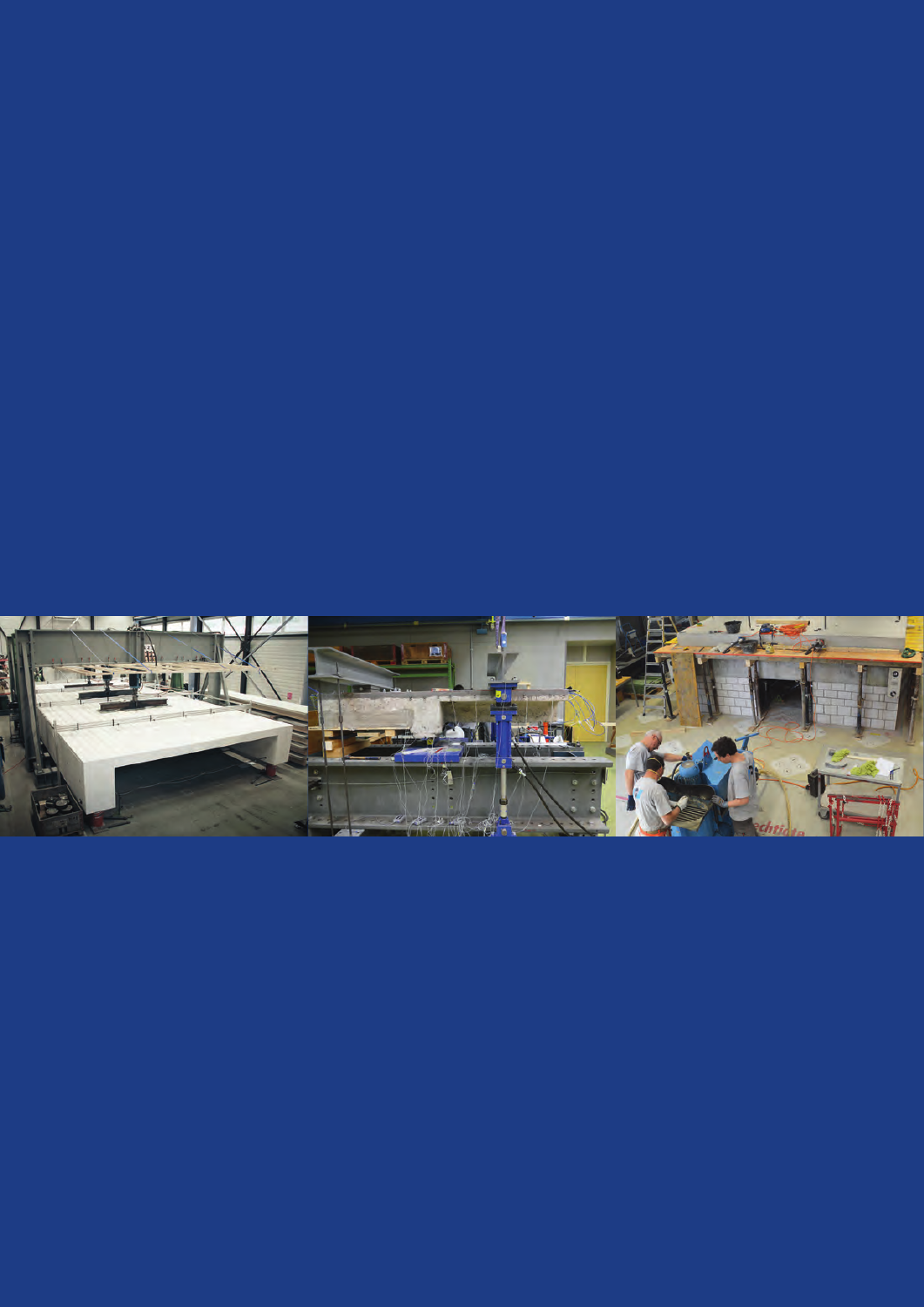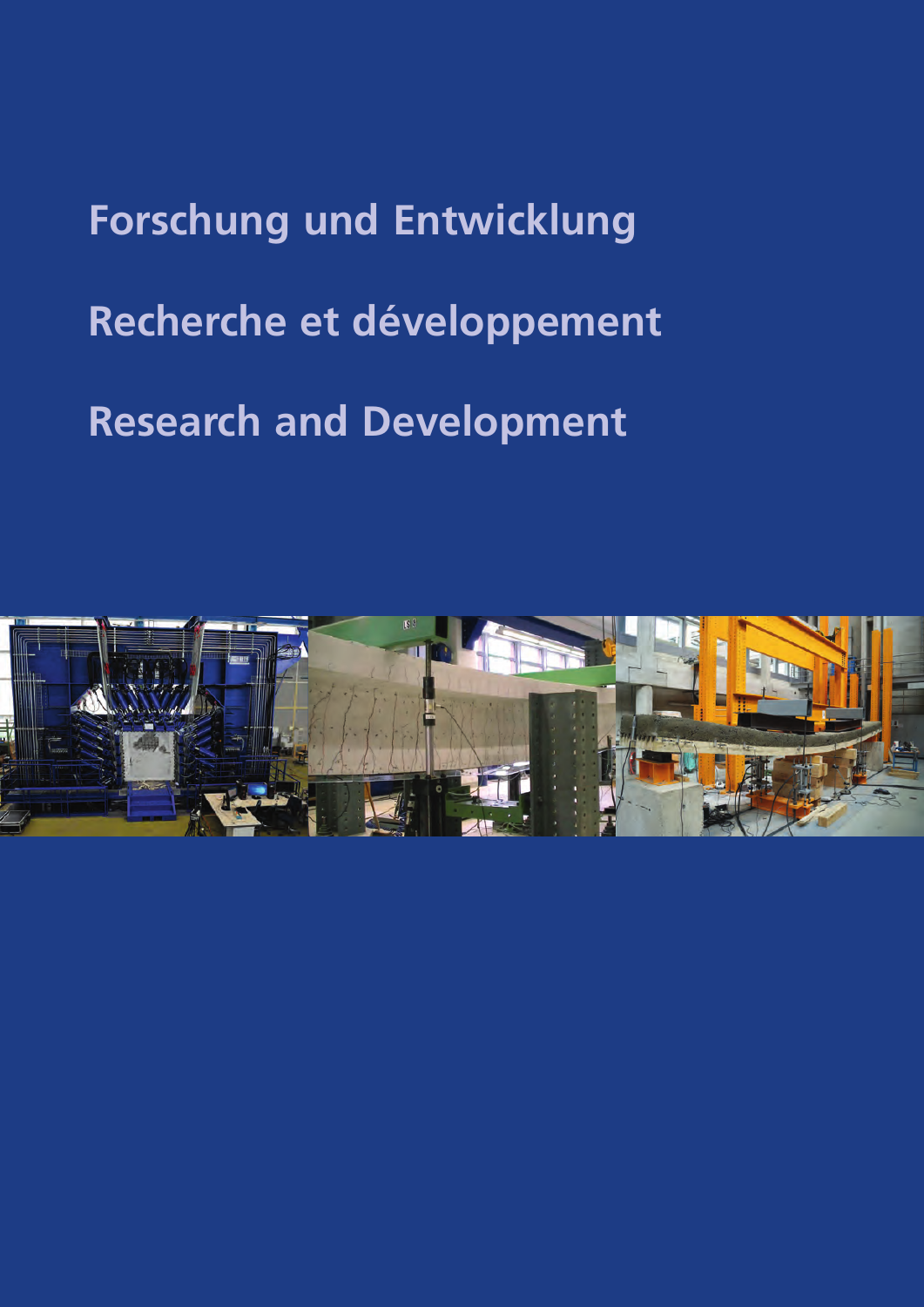**Forschung und Entwicklung Recherche et développement Research and Development**

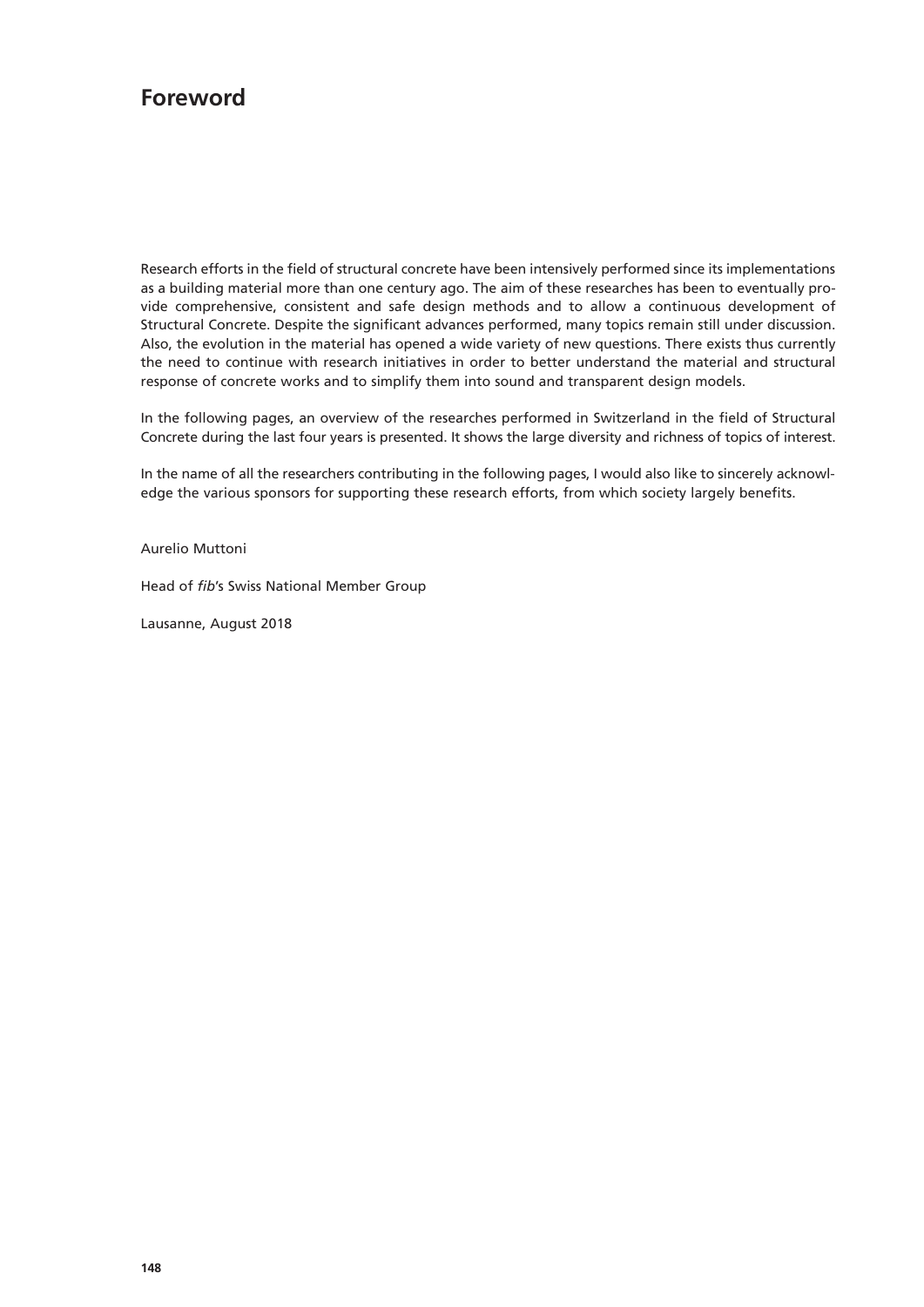# **Foreword**

Research efforts in the field of structural concrete have been intensively performed since its implementations as a building material more than one century ago. The aim of these researches has been to eventually provide comprehensive, consistent and safe design methods and to allow a continuous development of Structural Concrete. Despite the significant advances performed, many topics remain still under discussion. Also, the evolution in the material has opened a wide variety of new questions. There exists thus currently the need to continue with research initiatives in order to better understand the material and structural response of concrete works and to simplify them into sound and transparent design models.

In the following pages, an overview of the researches performed in Switzerland in the field of Structural Concrete during the last four years is presented. It shows the large diversity and richness of topics of interest.

In the name of all the researchers contributing in the following pages, I would also like to sincerely acknowledge the various sponsors for supporting these research efforts, from which society largely benefits.

Aurelio Muttoni

Head of *fib*'s Swiss National Member Group

Lausanne, August 2018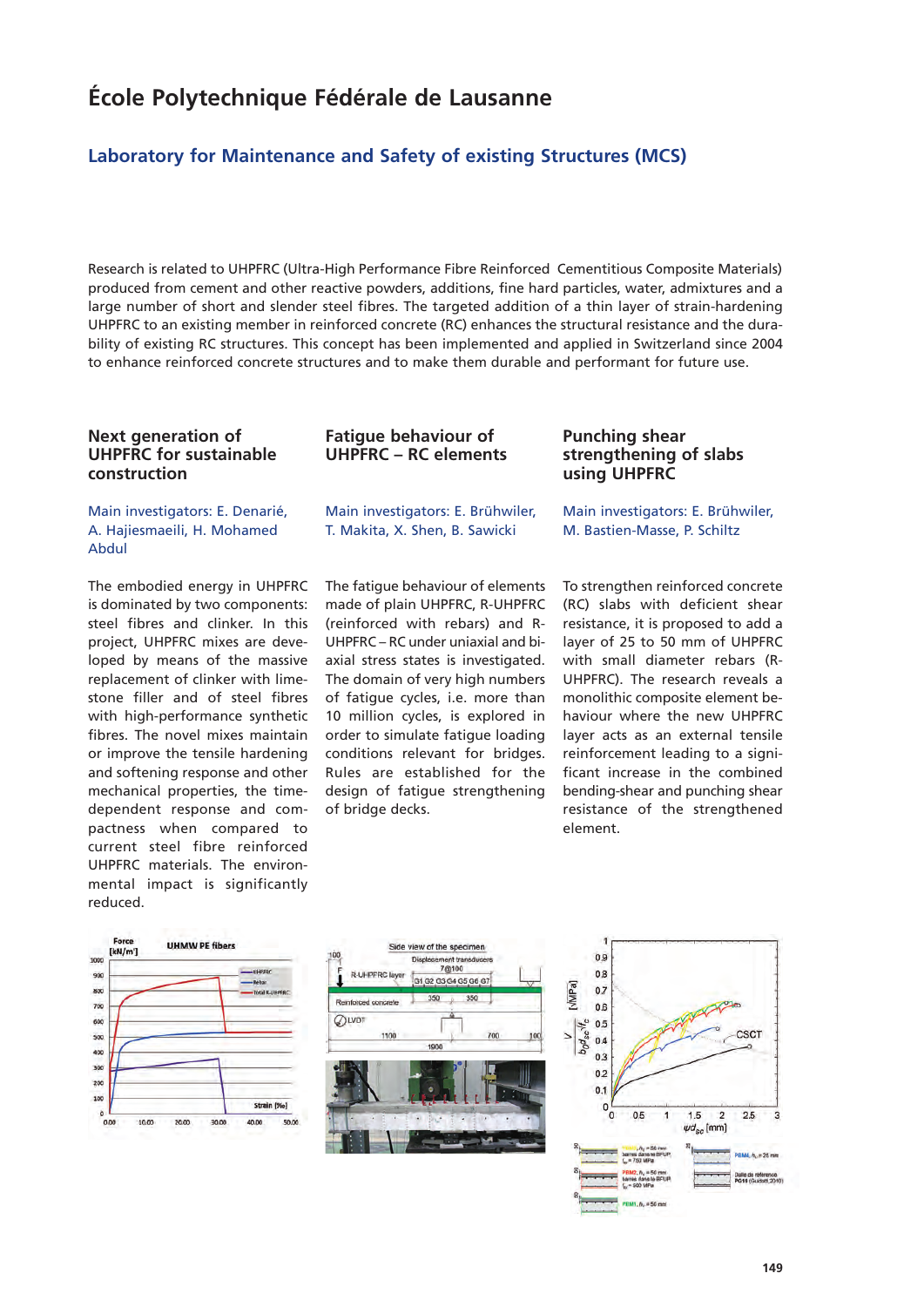# **École Polytechnique Fédérale de Lausanne**

### **Laboratory for Maintenance and Safety of existing Structures (MCS)**

Research is related to UHPFRC (Ultra-High Performance Fibre Reinforced Cementitious Composite Materials) produced from cement and other reactive powders, additions, fine hard particles, water, admixtures and a large number of short and slender steel fibres. The targeted addition of a thin layer of strain-hardening UHPFRC to an existing member in reinforced concrete (RC) enhances the structural resistance and the durability of existing RC structures. This concept has been implemented and applied in Switzerland since 2004 to enhance reinforced concrete structures and to make them durable and performant for future use.

#### **Next generation of UHPFRC for sustainable construction**

Main investigators: E. Denarié, A. Hajiesmaeili, H. Mohamed Abdul

The embodied energy in UHPFRC is dominated by two components: steel fibres and clinker. In this project, UHPFRC mixes are developed by means of the massive replacement of clinker with limestone filler and of steel fibres with high-performance synthetic fibres. The novel mixes maintain or improve the tensile hardening and softening response and other mechanical properties, the timedependent response and compactness when compared to current steel fibre reinforced UHPFRC materials. The environmental impact is significantly reduced.

#### **Fatigue behaviour of UHPFRC – RC elements**

Main investigators: E. Brühwiler, T. Makita, X. Shen, B. Sawicki

The fatigue behaviour of elements made of plain UHPFRC, R-UHPFRC (reinforced with rebars) and R-UHPFRC – RC under uniaxial and bi axial stress states is investigated. The domain of very high numbers of fatigue cycles, i.e. more than 10 million cycles, is explored in order to simulate fatigue loading conditions relevant for bridges. Rules are established for the design of fatigue strengthening of bridge decks.

#### **Punching shear strengthening of slabs using UHPFRC**

Main investigators: E. Brühwiler, M. Bastien-Masse, P. Schiltz

To strengthen reinforced concrete (RC) slabs with deficient shear resistance, it is proposed to add a layer of 25 to 50 mm of UHPFRC with small diameter rebars (R-UHPFRC). The research reveals a monolithic composite element behaviour where the new UHPFRC layer acts as an external tensile reinforcement leading to a significant increase in the combined bending-shear and punching shear resistance of the strengthened element.





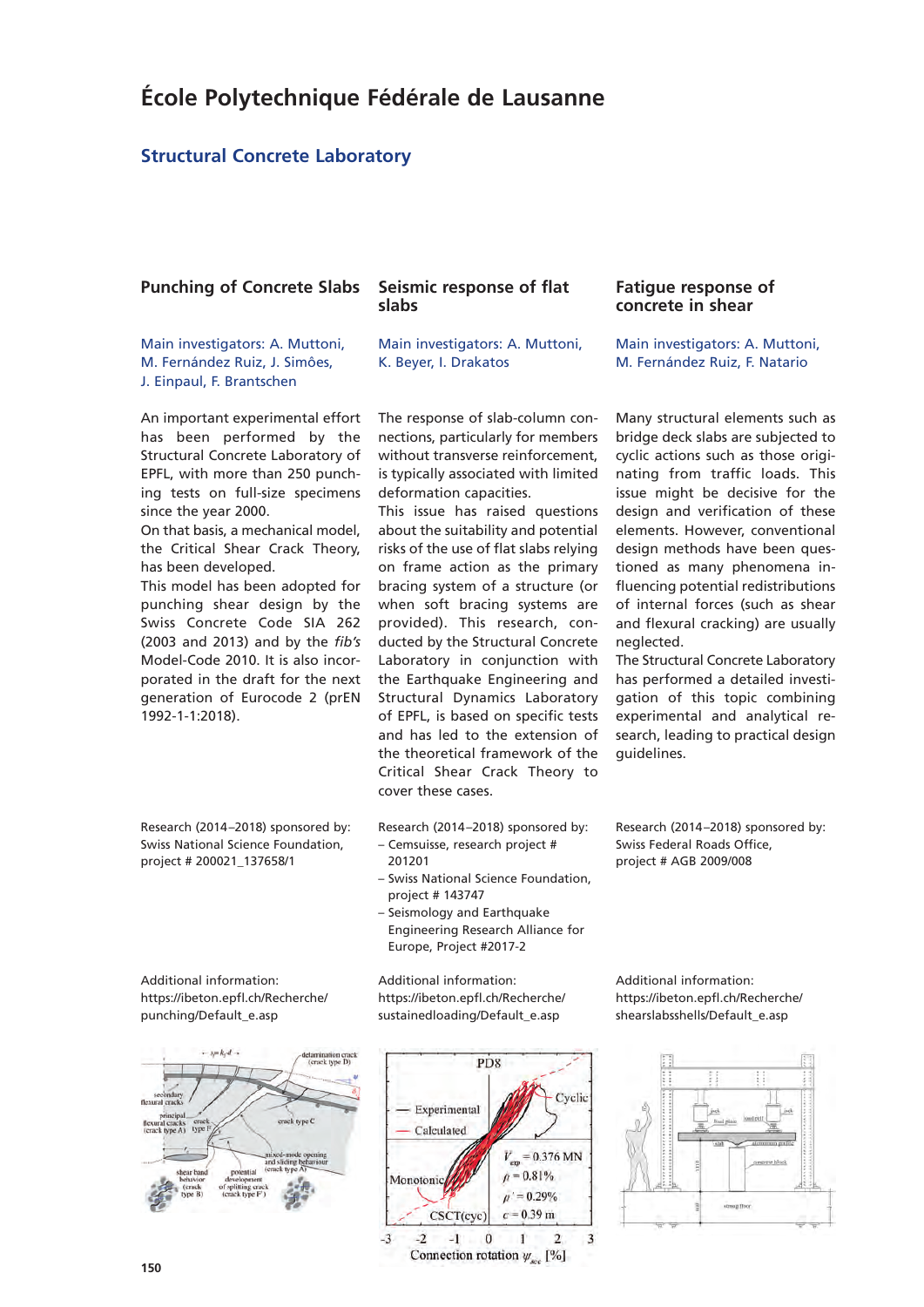#### **Punching of Concrete Slabs**

**Seismic response of flat slabs**

Main investigators: A. Muttoni, M. Fernández Ruiz, J. Simôes, J. Einpaul, F. Brantschen

An important experimental effort has been performed by the Structural Concrete Laboratory of EPFL, with more than 250 punching tests on full-size specimens since the year 2000.

On that basis, a mechanical model, the Critical Shear Crack Theory, has been developed.

This model has been adopted for punching shear design by the Swiss Concrete Code SIA 262 (2003 and 2013) and by the *fib's* Model-Code 2010. It is also incorporated in the draft for the next generation of Eurocode 2 (prEN 1992-1-1:2018).

Research (2014–2018) sponsored by: Swiss National Science Foundation, project # 200021\_137658/1

Additional information: https://ibeton.epfl.ch/Recherche/ punching/Default\_e.asp



# Main investigators: A. Muttoni,

K. Beyer, I. Drakatos

The response of slab-column connections, particularly for members without transverse reinforcement, is typically associated with limited deformation capacities.

This issue has raised questions about the suitability and potential risks of the use of flat slabs relying on frame action as the primary bracing system of a structure (or when soft bracing systems are provided). This research, conducted by the Structural Concrete Laboratory in conjunction with the Earthquake Engineering and Structural Dynamics Laboratory of EPFL, is based on specific tests and has led to the extension of the theoretical framework of the Critical Shear Crack Theory to cover these cases.

Research (2014–2018) sponsored by: – Cemsuisse, research project # 201201

- Swiss National Science Foundation, project # 143747
- Seismology and Earthquake Engineering Research Alliance for Europe, Project #2017-2

Additional information: https://ibeton.epfl.ch/Recherche/ sustainedloading/Default\_e.asp



Connection rotation  $\psi_{\text{src}}$  [%]

#### **Fatigue response of concrete in shear**

Main investigators: A. Muttoni, M. Fernández Ruiz, F. Natario

Many structural elements such as bridge deck slabs are subjected to cyclic actions such as those originating from traffic loads. This issue might be decisive for the design and verification of these elements. However, conventional design methods have been questioned as many phenomena influencing potential redistributions of internal forces (such as shear and flexural cracking) are usually neglected.

The Structural Concrete Laboratory has performed a detailed investigation of this topic combining experimental and analytical research, leading to practical design guidelines.

Research (2014–2018) sponsored by: Swiss Federal Roads Office, project # AGB 2009/008

Additional information: https://ibeton.epfl.ch/Recherche/ shearslabsshells/Default\_e.asp

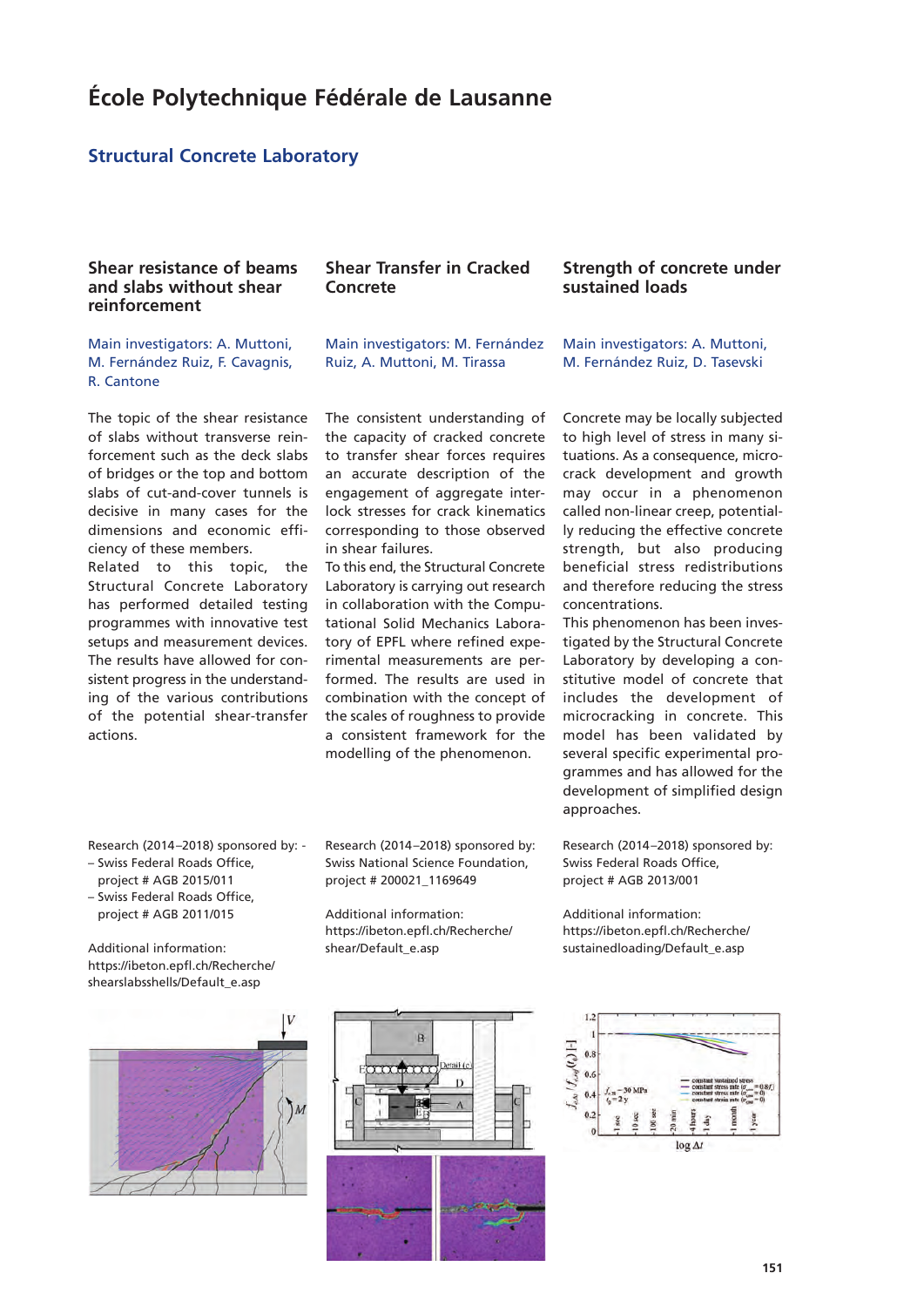#### **Shear resistance of beams and slabs without shear reinforcement**

Main investigators: A. Muttoni, M. Fernández Ruiz, F. Cavagnis, R. Cantone

The topic of the shear resistance of slabs without transverse reinforcement such as the deck slabs of bridges or the top and bottom slabs of cut-and-cover tunnels is decisive in many cases for the dimensions and economic efficiency of these members.

Related to this topic, the Structural Concrete Laboratory has performed detailed testing programmes with innovative test setups and measurement devices. The results have allowed for consistent progress in the understanding of the various contributions of the potential shear-transfer actions.

**Shear Transfer in Cracked Concrete**

Main investigators: M. Fernández Ruiz, A. Muttoni, M. Tirassa

The consistent understanding of the capacity of cracked concrete to transfer shear forces requires an accurate description of the engagement of aggregate interlock stresses for crack kinematics corresponding to those observed in shear failures.

To this end, the Structural Concrete Laboratory is carrying out research in collaboration with the Computational Solid Mechanics Laboratory of EPFL where refined experimental measurements are performed. The results are used in combination with the concept of the scales of roughness to provide a consistent framework for the modelling of the phenomenon.

Research (2014–2018) sponsored by: Swiss National Science Foundation,

project # 200021\_1169649

Additional information: https://ibeton.epfl.ch/Recherche/

shear/Default\_e.asp

**Strength of concrete under sustained loads**

Main investigators: A. Muttoni, M. Fernández Ruiz, D. Tasevski

Concrete may be locally subjected to high level of stress in many situations. As a consequence, microcrack development and growth may occur in a phenomenon called non-linear creep, potentially reducing the effective concrete strength, but also producing beneficial stress redistributions and therefore reducing the stress concentrations.

This phenomenon has been investigated by the Structural Concrete Laboratory by developing a constitutive model of concrete that includes the development of microcracking in concrete. This model has been validated by several specific experimental programmes and has allowed for the development of simplified design approaches.

Research (2014–2018) sponsored by: Swiss Federal Roads Office, project # AGB 2013/001

Additional information: https://ibeton.epfl.ch/Recherche/ sustainedloading/Default\_e.asp



#### Research (2014–2018) sponsored by: - – Swiss Federal Roads Office, project # AGB 2015/011

– Swiss Federal Roads Office, project # AGB 2011/015

Additional information: https://ibeton.epfl.ch/Recherche/ shearslabsshells/Default\_e.asp



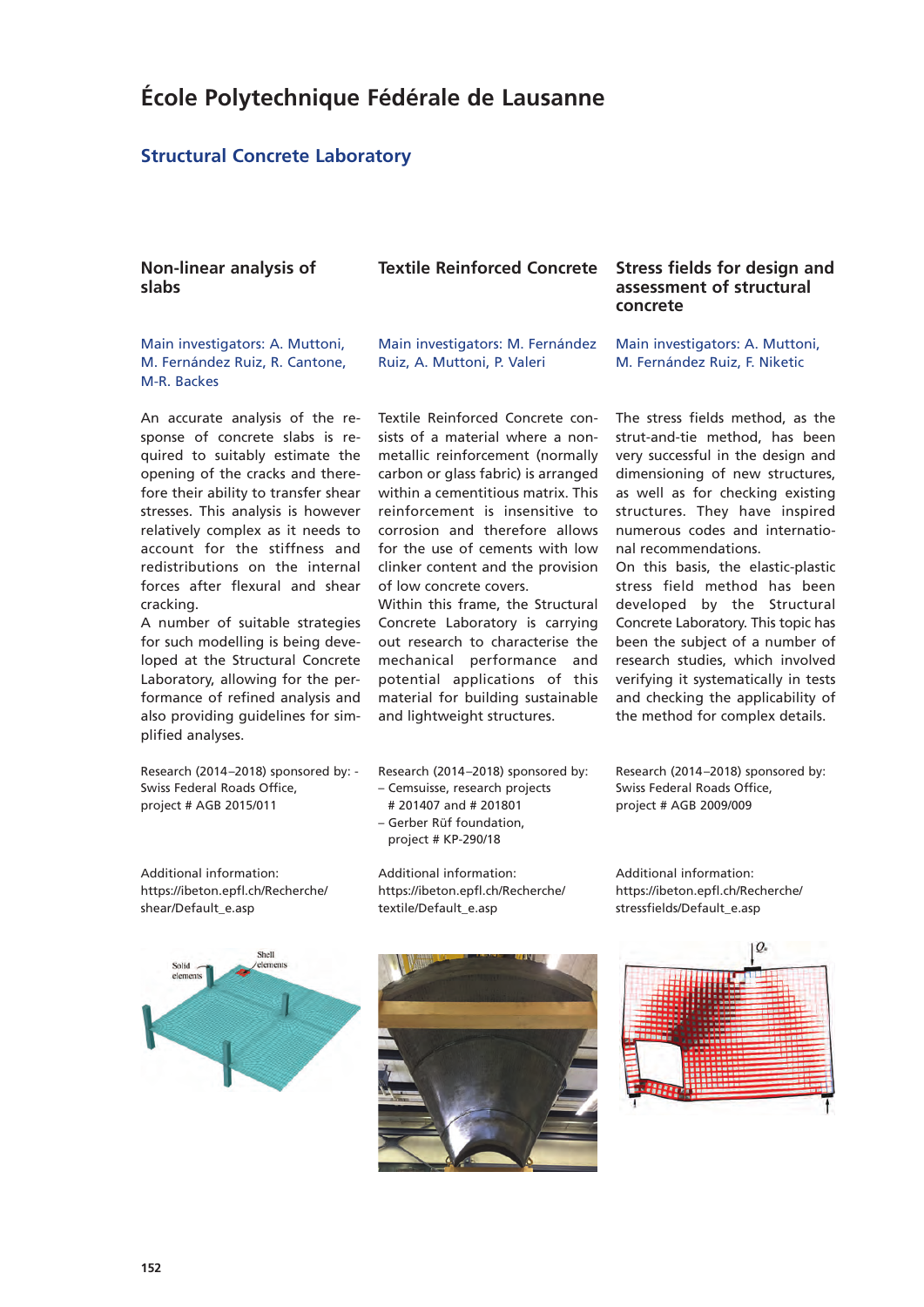#### **Non-linear analysis of slabs**

Main investigators: A. Muttoni, M. Fernández Ruiz, R. Cantone, M-R. Backes

An accurate analysis of the response of concrete slabs is required to suitably estimate the opening of the cracks and therefore their ability to transfer shear stresses. This analysis is however relatively complex as it needs to account for the stiffness and redistributions on the internal forces after flexural and shear cracking.

A number of suitable strategies for such modelling is being developed at the Structural Concrete Laboratory, allowing for the performance of refined analysis and also providing guidelines for simplified analyses.

Research (2014–2018) sponsored by: - Swiss Federal Roads Office, project # AGB 2015/011

Additional information: https://ibeton.epfl.ch/Recherche/ shear/Default\_e.asp

Main investigators: M. Fernández Ruiz, A. Muttoni, P. Valeri

Textile Reinforced Concrete consists of a material where a nonmetallic reinforcement (normally carbon or glass fabric) is arranged within a cementitious matrix. This reinforcement is insensitive to corrosion and therefore allows for the use of cements with low clinker content and the provision of low concrete covers.

Within this frame, the Structural Concrete Laboratory is carrying out research to characterise the mechanical performance and potential applications of this material for building sustainable and lightweight structures.

Research (2014–2018) sponsored by: – Cemsuisse, research projects

- # 201407 and # 201801
- Gerber Rüf foundation, project # KP-290/18

Additional information: https://ibeton.epfl.ch/Recherche/ textile/Default\_e.asp

**Textile Reinforced Concrete Stress fields for design and assessment of structural concrete**

> Main investigators: A. Muttoni, M. Fernández Ruiz, F. Niketic

The stress fields method, as the strut-and-tie method, has been very successful in the design and dimensioning of new structures, as well as for checking existing structures. They have inspired numerous codes and international recommendations.

On this basis, the elastic-plastic stress field method has been developed by the Structural Concrete Laboratory. This topic has been the subject of a number of research studies, which involved verifying it systematically in tests and checking the applicability of the method for complex details.

Research (2014–2018) sponsored by: Swiss Federal Roads Office, project # AGB 2009/009

Additional information: https://ibeton.epfl.ch/Recherche/ stressfields/Default\_e.asp





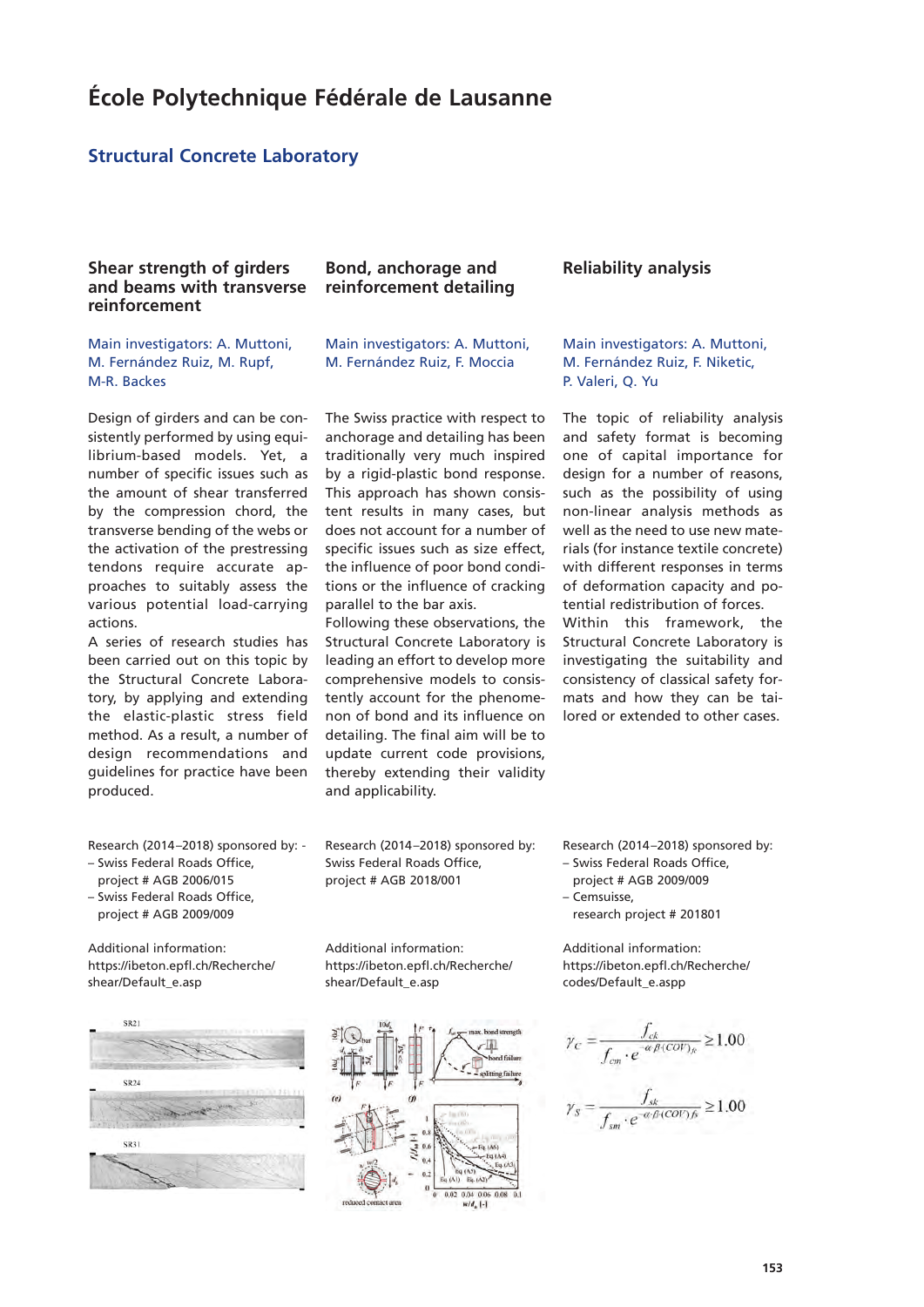#### **Shear strength of girders and beams with transverse reinforcement**

Main investigators: A. Muttoni, M. Fernández Ruiz, M. Rupf, M-R. Backes

Design of girders and can be consistently performed by using equilibrium-based models. Yet, a number of specific issues such as the amount of shear transferred by the compression chord, the transverse bending of the webs or the activation of the prestressing tendons require accurate approaches to suitably assess the various potential load-carrying actions.

A series of research studies has been carried out on this topic by the Structural Concrete Laboratory, by applying and extending the elastic-plastic stress field method. As a result, a number of design recommendations and guidelines for practice have been produced.

**Bond, anchorage and reinforcement detailing**

Main investigators: A. Muttoni, M. Fernández Ruiz, F. Moccia

The Swiss practice with respect to anchorage and detailing has been traditionally very much inspired by a rigid-plastic bond response. This approach has shown consistent results in many cases, but does not account for a number of specific issues such as size effect, the influence of poor bond conditions or the influence of cracking parallel to the bar axis.

Following these observations, the Structural Concrete Laboratory is leading an effort to develop more comprehensive models to consistently account for the phenomenon of bond and its influence on detailing. The final aim will be to update current code provisions, thereby extending their validity and applicability.

**Reliability analysis**

Main investigators: A. Muttoni, M. Fernández Ruiz, F. Niketic, P. Valeri, Q. Yu

The topic of reliability analysis and safety format is becoming one of capital importance for design for a number of reasons, such as the possibility of using non-linear analysis methods as well as the need to use new materials (for instance textile concrete) with different responses in terms of deformation capacity and potential redistribution of forces. Within this framework, the Structural Concrete Laboratory is investigating the suitability and consistency of classical safety formats and how they can be tailored or extended to other cases.

- Research (2014–2018) sponsored by: – Swiss Federal Roads Office,
- project # AGB 2006/015 – Swiss Federal Roads Office,
- project # AGB 2009/009

Additional information: https://ibeton.epfl.ch/Recherche/ shear/Default\_e.asp



Research (2014–2018) sponsored by: Swiss Federal Roads Office, project # AGB 2018/001

Additional information: https://ibeton.epfl.ch/Recherche/ shear/Default\_e.asp



Research (2014–2018) sponsored by: – Swiss Federal Roads Office,

- project # AGB 2009/009
- Cemsuisse,
- research project # 201801

Additional information: https://ibeton.epfl.ch/Recherche/ codes/Default\_e.aspp

$$
\gamma_C = \frac{f_{ck}}{f_{cm} \cdot e^{-\alpha \cdot \beta (COV)_{\mathcal{R}}}} \ge 1.00
$$

$$
\gamma_{S} = \frac{f_{sk}}{f_{sm} \cdot e^{-\alpha \cdot \beta (COV)/\beta}} \ge 1.00
$$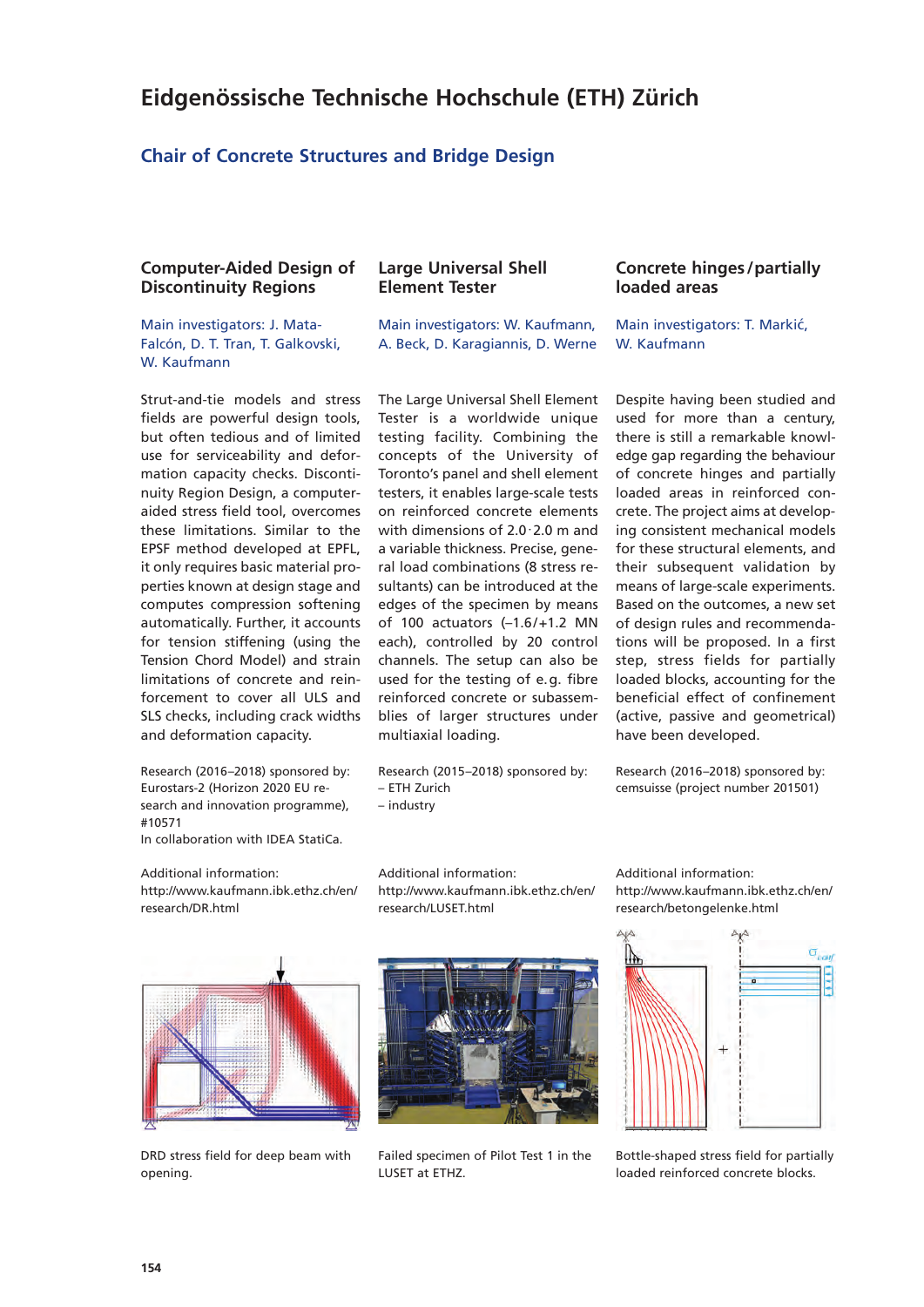#### **Chair of Concrete Structures and Bridge Design**

#### **Computer-Aided Design of Discontinuity Regions**

Main investigators: J. Mata-Falcón, D. T. Tran, T. Galkovski, W. Kaufmann

Strut-and-tie models and stress fields are powerful design tools, but often tedious and of limited use for serviceability and deformation capacity checks. Discontinuity Region Design, a computeraided stress field tool, overcomes these limitations. Similar to the EPSF method developed at EPFL, it only requires basic material properties known at design stage and computes compression softening automatically. Further, it accounts for tension stiffening (using the Tension Chord Model) and strain limitations of concrete and reinforcement to cover all ULS and SLS checks, including crack widths and deformation capacity.

Research (2016–2018) sponsored by: Eurostars-2 (Horizon 2020 EU research and innovation programme), #10571 In collaboration with IDEA StatiCa.

**Large Universal Shell Element Tester**

Main investigators: W. Kaufmann, A. Beck, D. Karagiannis, D. Werne

The Large Universal Shell Element Tester is a worldwide unique testing facility. Combining the concepts of the University of Toronto's panel and shell element testers, it enables large-scale tests on reinforced concrete elements with dimensions of 2.0 ∙2.0 m and a variable thickness. Precise, gene ral load combinations (8 stress re sultants) can be introduced at the edges of the specimen by means of 100 actuators (–1.6/+1.2 MN each), controlled by 20 control channels. The setup can also be used for the testing of e.g. fibre reinforced concrete or subassemblies of larger structures under multiaxial loading.

Research (2015–2018) sponsored by: – ETH Zurich

– industry

**Concrete hinges/partially loaded areas**

Main investigators: T. Markić, W. Kaufmann

Despite having been studied and used for more than a century, there is still a remarkable knowledge gap regarding the behaviour of concrete hinges and partially loaded areas in reinforced concrete. The project aims at developing consistent mechanical models for these structural elements, and their subsequent validation by means of large-scale experiments. Based on the outcomes, a new set of design rules and recommendations will be proposed. In a first step, stress fields for partially loaded blocks, accounting for the beneficial effect of confinement (active, passive and geometrical) have been developed.

Research (2016–2018) sponsored by: cemsuisse (project number 201501)

Additional information: http://www.kaufmann.ibk.ethz.ch/en/ research/DR.html

DRD stress field for deep beam with opening.

Additional information: http://www.kaufmann.ibk.ethz.ch/en/ research/LUSET.html

Additional information: http://www.kaufmann.ibk.ethz.ch/en/ research/betongelenke.html



Bottle-shaped stress field for partially loaded reinforced concrete blocks.



Failed specimen of Pilot Test 1 in the LUSET at ETHZ.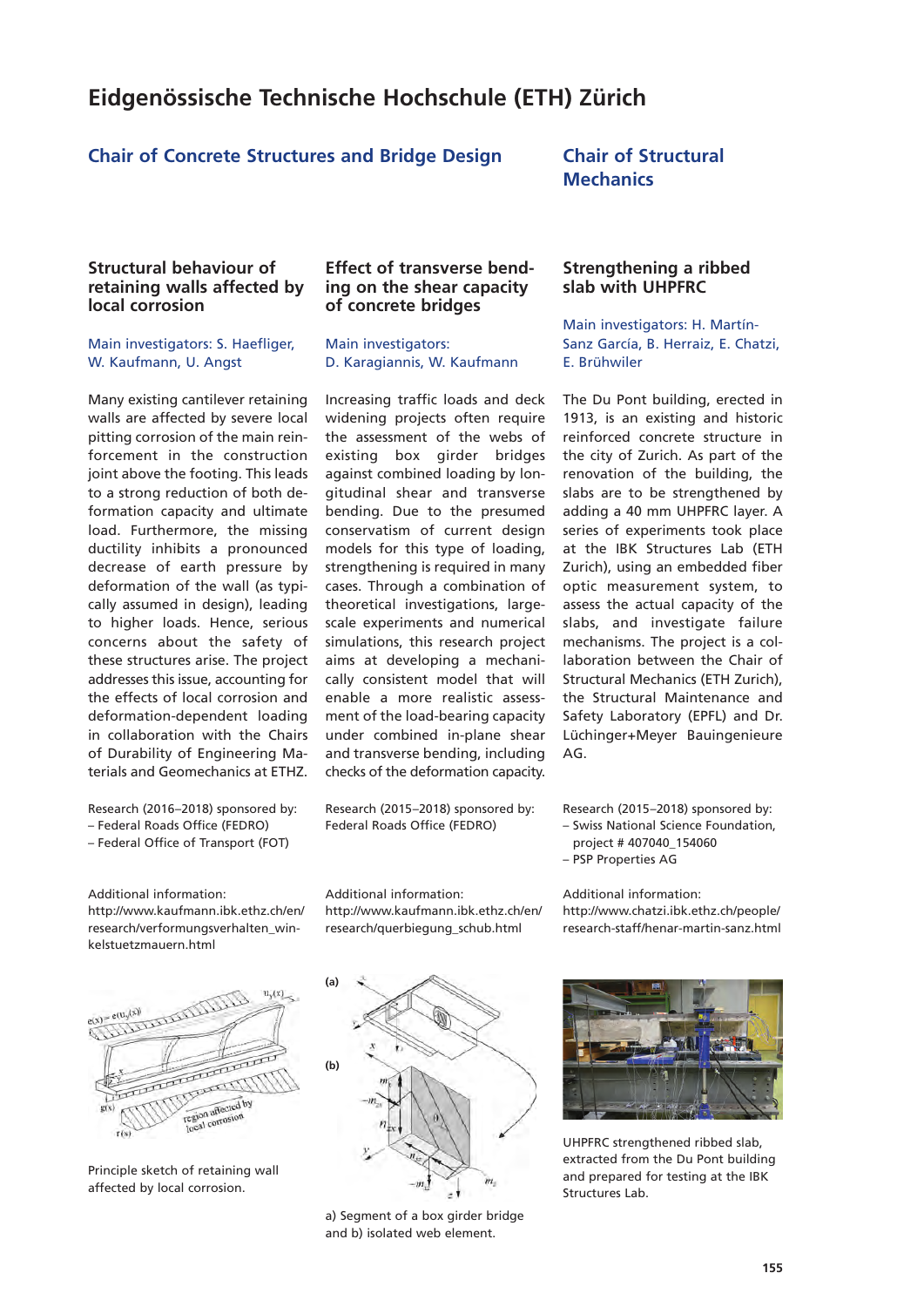#### **Chair of Concrete Structures and Bridge Design**

### **Chair of Structural Mechanics**

#### **Structural behaviour of retaining walls affected by local corrosion**

#### Main investigators: S. Haefliger, W. Kaufmann, U. Angst

Many existing cantilever retaining walls are affected by severe local pitting corrosion of the main reinforcement in the construction joint above the footing. This leads to a strong reduction of both deformation capacity and ultimate load. Furthermore, the missing ductility inhibits a pronounced decrease of earth pressure by deformation of the wall (as typically assumed in design), leading to higher loads. Hence, serious concerns about the safety of these structures arise. The project addresses this issue, accounting for the effects of local corrosion and deformation-dependent loading in collaboration with the Chairs of Durability of Engineering Materials and Geomechanics at ETHZ.

Research (2016–2018) sponsored by: – Federal Roads Office (FEDRO)

– Federal Office of Transport (FOT)

#### Additional information: http://www.kaufmann.ibk.ethz.ch/en/ research/verformungsverhalten\_winkelstuetzmauern.html





#### **Effect of transverse bending on the shear capacity of concrete bridges**

Main investigators: D. Karagiannis, W. Kaufmann

Increasing traffic loads and deck widening projects often require the assessment of the webs of existing box girder bridges against combined loading by longitudinal shear and transverse bending. Due to the presumed conservatism of current design models for this type of loading, strengthening is required in many cases. Through a combination of theoretical investigations, largescale experiments and numerical simulations, this research project aims at developing a mechanically consistent model that will enable a more realistic assessment of the load-bearing capacity under combined in-plane shear and transverse bending, including checks of the deformation capacity.

Research (2015–2018) sponsored by: Federal Roads Office (FEDRO)

http://www.kaufmann.ibk.ethz.ch/en/ research/querbiegung\_schub.html

Additional information:

#### **Strengthening a ribbed slab with UHPFRC**

Main investigators: H. Martín-Sanz García, B. Herraiz, E. Chatzi, E. Brühwiler

The Du Pont building, erected in 1913, is an existing and historic reinforced concrete structure in the city of Zurich. As part of the renovation of the building, the slabs are to be strengthened by adding a 40 mm UHPFRC layer. A series of experiments took place at the IBK Structures Lab (ETH Zurich), using an embedded fiber optic measurement system, to assess the actual capacity of the slabs, and investigate failure mechanisms. The project is a collaboration between the Chair of Structural Mechanics (ETH Zurich), the Structural Maintenance and Safety Laboratory (EPFL) and Dr. Lüchinger+Meyer Bauingenieure AG.

Research (2015–2018) sponsored by:

- Swiss National Science Foundation,
- project # 407040\_154060
- PSP Properties AG

Additional information: http://www.chatzi.ibk.ethz.ch/people/ research-staff/henar-martin-sanz.html



a) Segment of a box girder bridge and b) isolated web element.



UHPFRC strengthened ribbed slab, extracted from the Du Pont building and prepared for testing at the IBK Structures Lab.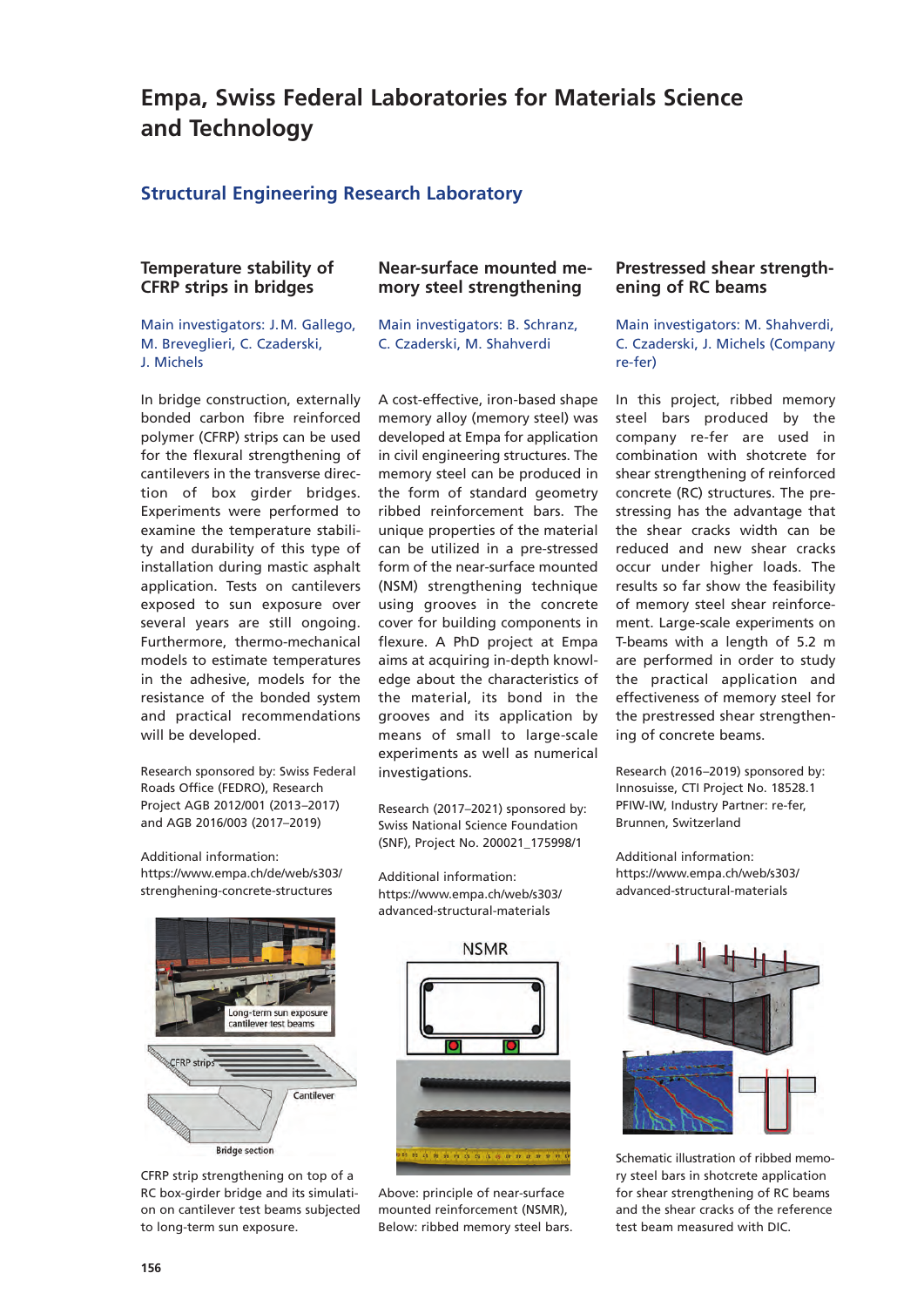# **Empa, Swiss Federal Laboratories for Materials Science and Technology**

#### **Structural Engineering Research Laboratory**

#### **Temperature stability of CFRP strips in bridges**

#### Main investigators: J.M. Gallego, M. Breveglieri, C. Czaderski, J. Michels

In bridge construction, externally bonded carbon fibre rein forced polymer (CFRP) strips can be used for the flexural strengthening of cantilevers in the transverse direction of box girder bridges. Experiments were performed to examine the temperature stability and durability of this type of installation during mastic asphalt application. Tests on cantilevers exposed to sun exposure over several years are still ongoing. Furthermore, thermo-mechanical models to estimate temperatures in the adhesive, models for the resistance of the bonded system and practical recommendations will be developed.

Research sponsored by: Swiss Federal Roads Office (FEDRO), Research Project AGB 2012/001 (2013–2017) and AGB 2016/003 (2017–2019)

Additional information: https://www.empa.ch/de/web/s303/ strenghening-concrete-structures



CFRP strip strengthening on top of a RC box-girder bridge and its simulation on cantilever test beams subjected to long-term sun exposure.

#### **Near-surface mounted me mory steel strengthening**

Main investigators: B. Schranz, C. Czaderski, M. Shahverdi

A cost-effective, iron-based shape memory alloy (memory steel) was developed at Empa for application in civil engineering structures. The memory steel can be produced in the form of standard geometry ribbed reinforcement bars. The unique properties of the material can be utilized in a pre-stressed form of the near-surface mounted (NSM) strengthening technique using grooves in the concrete cover for building components in flexure. A PhD project at Empa aims at acquiring in-depth knowledge about the characteristics of the material, its bond in the grooves and its application by means of small to large-scale experiments as well as numerical investigations.

Research (2017–2021) sponsored by: Swiss National Science Foundation (SNF), Project No. 200021\_175998/1

Additional information: https://www.empa.ch/web/s303/ advanced-structural-materials



Above: principle of near-surface mounted reinforcement (NSMR), Below: ribbed memory steel bars.

#### **Prestressed shear strength ening of RC beams**

#### Main investigators: M. Shahverdi, C. Czaderski, J. Michels (Company re-fer)

In this project, ribbed memory steel bars produced by the company re-fer are used in combination with shotcrete for shear strengthening of reinforced concrete (RC) structures. The prestressing has the advantage that the shear cracks width can be reduced and new shear cracks occur under higher loads. The results so far show the feasibility of memory steel shear reinforcement. Large-scale experiments on T-beams with a length of 5.2 m are performed in order to study the practical application and effectiveness of memory steel for the prestressed shear strengthening of concrete beams.

Research (2016–2019) sponsored by: Innosuisse, CTI Project No. 18528.1 PFIW-IW, Industry Partner: re-fer, Brunnen, Switzerland

Additional information: https://www.empa.ch/web/s303/ advanced-structural-materials



Schematic illustration of ribbed memory steel bars in shotcrete application for shear strengthening of RC beams and the shear cracks of the reference test beam measured with DIC.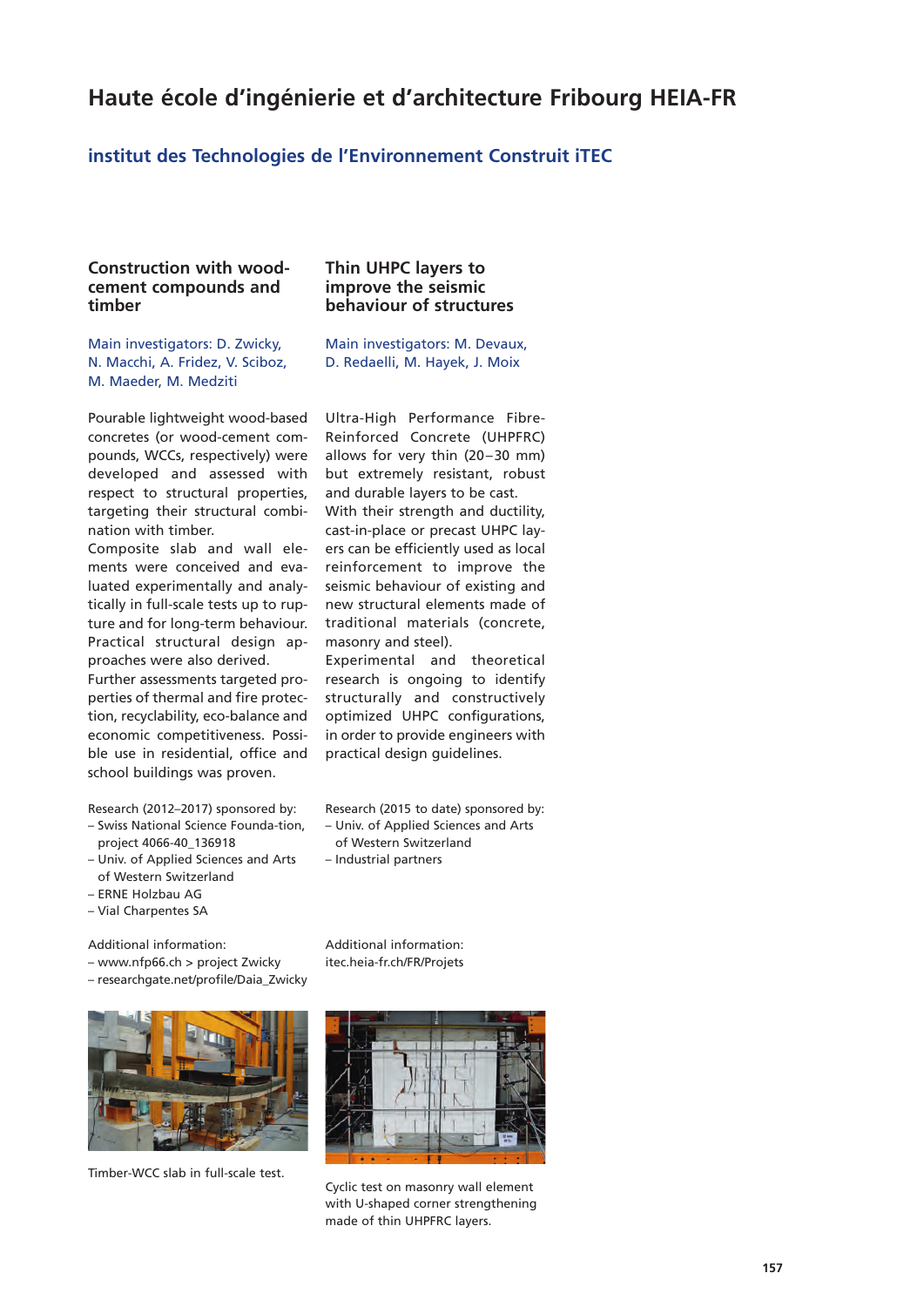# **Haute école d'ingénierie et d'architecture Fribourg HEIA-FR**

#### **institut des Technologies de l'Environnement Construit iTEC**

#### **Construction with woodcement compounds and timber**

Main investigators: D. Zwicky, N. Macchi, A. Fridez, V. Sciboz, M. Maeder, M. Medziti

Pourable lightweight wood-based concretes (or wood-cement compounds, WCCs, respectively) were developed and assessed with respect to structural properties, targeting their structural combination with timber.

Composite slab and wall elements were conceived and evaluated experimentally and analytically in full-scale tests up to rupture and for long-term behaviour. Practical structural design approaches were also derived. Further assessments targeted properties of thermal and fire protection, recyclability, eco-balance and economic competitiveness. Possible use in residential, office and school buildings was proven.

Research (2012–2017) sponsored by:

- Swiss National Science Founda-tion, project 4066-40\_136918
- Univ. of Applied Sciences and Arts of Western Switzerland
- ERNE Holzbau AG
- Vial Charpentes SA

Additional information:

- www.nfp66.ch > project Zwicky
- researchgate.net/profile/Daia\_Zwicky



Timber-WCC slab in full-scale test.

#### **Thin UHPC layers to improve the seismic behaviour of structures**

Main investigators: M. Devaux, D. Redaelli, M. Hayek, J. Moix

Ultra-High Performance Fibre-Rein forced Concrete (UHPFRC) allows for very thin (20–30 mm) but extremely resistant, robust and durable layers to be cast. With their strength and ductility, cast-in-place or precast UHPC layers can be efficiently used as local reinforcement to improve the seismic behaviour of existing and new structural elements made of traditional materials (concrete, masonry and steel).

Experimental and theoretical research is ongoing to identify structurally and constructively optimized UHPC configurations, in order to provide engineers with practical design guidelines.

Research (2015 to date) sponsored by:

- Univ. of Applied Sciences and Arts
- of Western Switzerland
- Industrial partners

Additional information: itec.heia-fr.ch/FR/Projets



Cyclic test on masonry wall element with U-shaped corner strengthening made of thin UHPFRC layers.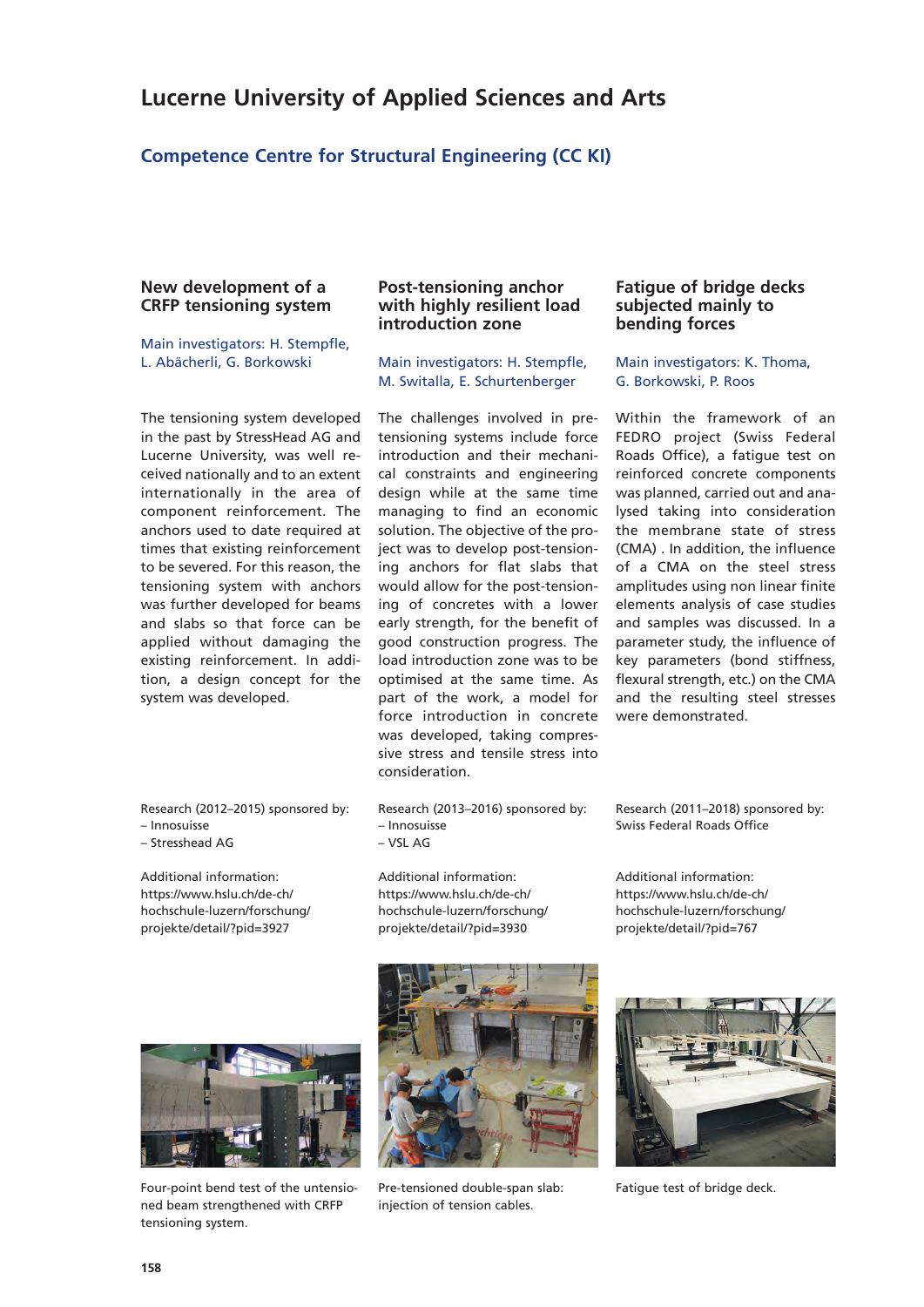### **Competence Centre for Structural Engineering (CC KI)**

#### **New development of a CRFP tensioning system**

Main investigators: H. Stempfle, L. Abächerli, G. Borkowski

The tensioning system developed in the past by StressHead AG and Lucerne University, was well received nationally and to an extent internationally in the area of component reinforcement. The anchors used to date required at times that existing reinforcement to be severed. For this reason, the tensioning system with anchors was further developed for beams and slabs so that force can be applied without damaging the existing reinforcement. In addition, a design concept for the system was developed.

Research (2012–2015) sponsored by: – Innosuisse – Stresshead AG

Additional information: https://www.hslu.ch/de-ch/ hochschule-luzern/forschung/ projekte/detail/?pid=3927

Four-point bend test of the untensioned beam strengthened with CRFP tensioning system.

# Main investigators: H. Stempfle, M. Switalla, E. Schurtenberger The challenges involved in pretensioning systems include force

**Post-tensioning anchor with highly resilient load**

**introduction zone**

introduction and their mechanical constraints and engineering design while at the same time managing to find an economic solution. The objective of the project was to develop post-tensioning anchors for flat slabs that would allow for the post-tensioning of concretes with a lower early strength, for the benefit of good construction progress. The load introduction zone was to be optimised at the same time. As part of the work, a model for force introduction in concrete was developed, taking compressive stress and tensile stress into consideration.

Research (2013–2016) sponsored by: – Innosuisse – VSL AG

Additional information: https://www.hslu.ch/de-ch/ hochschule-luzern/forschung/ projekte/detail/?pid=3930



#### Main investigators: K. Thoma, G. Borkowski, P. Roos

Within the framework of an FEDRO project (Swiss Federal Roads Office), a fatigue test on reinforced concrete components was planned, carried out and analysed taking into consideration the membrane state of stress (CMA) . In addition, the influence of a CMA on the steel stress amplitudes using non linear finite elements analysis of case studies and samples was discussed. In a parameter study, the influence of key parameters (bond stiffness, flexural strength, etc.) on the CMA and the resulting steel stresses were demonstrated.

Research (2011–2018) sponsored by: Swiss Federal Roads Office

Additional information: https://www.hslu.ch/de-ch/ hochschule-luzern/forschung/ projekte/detail/?pid=767



Pre-tensioned double-span slab: injection of tension cables.



Fatigue test of bridge deck.